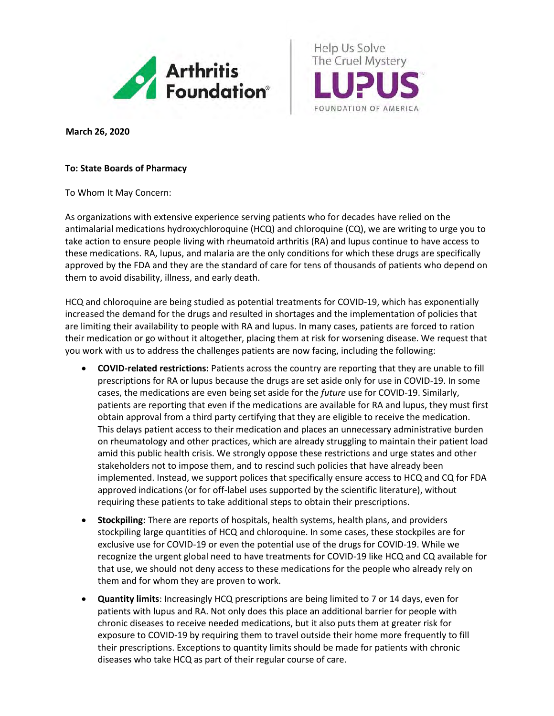

Help Us Solve The Cruel Mystery FOUNDATION OF AMERICA

*<sup>R</sup>***March 26, 2020**

## **To: State Boards of Pharmacy**

To Whom It May Concern:

As organizations with extensive experience serving patients who for decades have relied on the antimalarial medications hydroxychloroquine (HCQ) and chloroquine (CQ), we are writing to urge you to take action to ensure people living with rheumatoid arthritis (RA) and lupus continue to have access to these medications. RA, lupus, and malaria are the only conditions for which these drugs are specifically approved by the FDA and they are the standard of care for tens of thousands of patients who depend on them to avoid disability, illness, and early death.

HCQ and chloroquine are being studied as potential treatments for COVID-19, which has exponentially increased the demand for the drugs and resulted in shortages and the implementation of policies that are limiting their availability to people with RA and lupus. In many cases, patients are forced to ration their medication or go without it altogether, placing them at risk for worsening disease. We request that you work with us to address the challenges patients are now facing, including the following:

- **COVID-related restrictions:** Patients across the country are reporting that they are unable to fill prescriptions for RA or lupus because the drugs are set aside only for use in COVID-19. In some cases, the medications are even being set aside for the *future* use for COVID-19. Similarly, patients are reporting that even if the medications are available for RA and lupus, they must first obtain approval from a third party certifying that they are eligible to receive the medication. This delays patient access to their medication and places an unnecessary administrative burden on rheumatology and other practices, which are already struggling to maintain their patient load amid this public health crisis. We strongly oppose these restrictions and urge states and other stakeholders not to impose them, and to rescind such policies that have already been implemented. Instead, we support polices that specifically ensure access to HCQ and CQ for FDA approved indications (or for off-label uses supported by the scientific literature), without requiring these patients to take additional steps to obtain their prescriptions.
- **Stockpiling:** There are reports of hospitals, health systems, health plans, and providers stockpiling large quantities of HCQ and chloroquine. In some cases, these stockpiles are for exclusive use for COVID-19 or even the potential use of the drugs for COVID-19. While we recognize the urgent global need to have treatments for COVID-19 like HCQ and CQ available for that use, we should not deny access to these medications for the people who already rely on them and for whom they are proven to work.
- **Quantity limits**: Increasingly HCQ prescriptions are being limited to 7 or 14 days, even for patients with lupus and RA. Not only does this place an additional barrier for people with chronic diseases to receive needed medications, but it also puts them at greater risk for exposure to COVID-19 by requiring them to travel outside their home more frequently to fill their prescriptions. Exceptions to quantity limits should be made for patients with chronic diseases who take HCQ as part of their regular course of care.